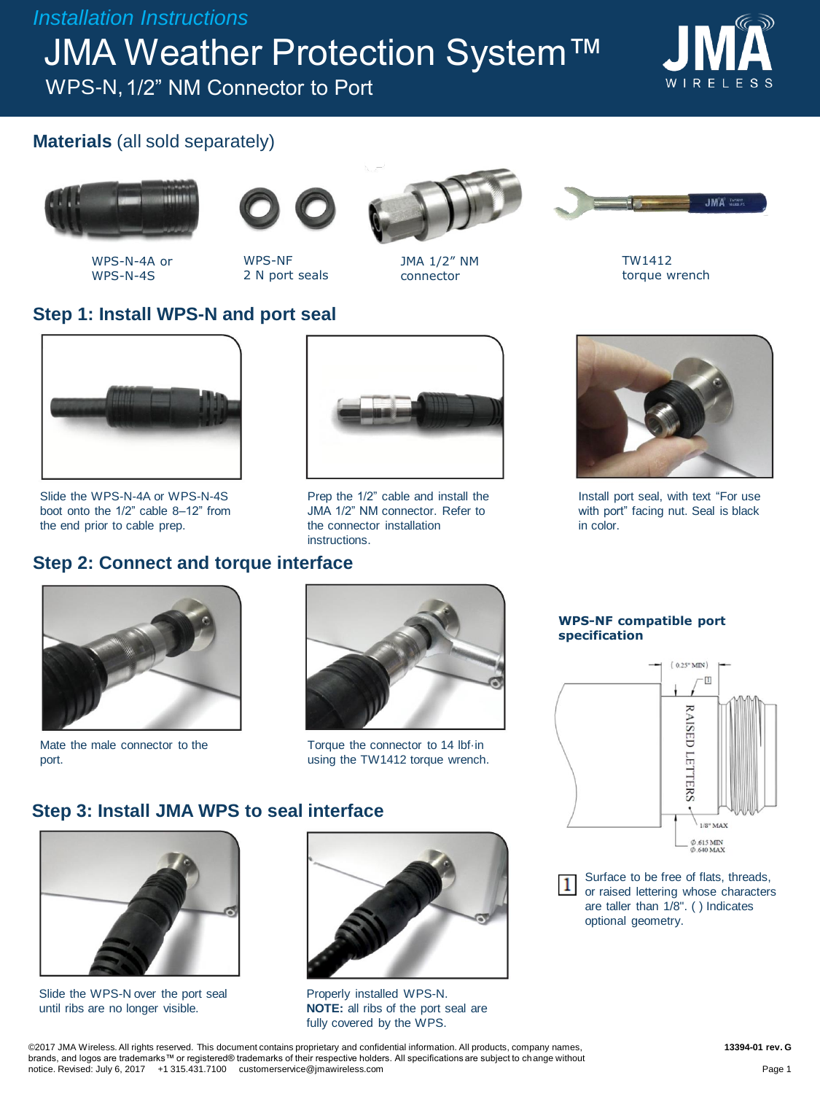*Installation Instructions*

**JMA Weather Protection System™** 

WPS-N, 1/2" NM Connector to Port



## **Materials** (all sold separately)



WPS-N-4A or WPS-N-4S





WPS-NF 2 N port seals



JMA 1/2" NM connector



TW1412 torque wrench

## **Step 1: Install WPS-N and port seal**



Slide the WPS-N-4A or WPS-N-4S boot onto the 1/2" cable 8–12" from the end prior to cable prep.

# **Step 2: Connect and torque interface**





Install port seal, with text "For use with port" facing nut. Seal is black in color.



Mate the male connector to the port.



Torque the connector to 14 lbf·in using the TW1412 torque wrench.

#### **Step 3: Install JMA WPS to seal interface**



Slide the WPS-N over the port seal until ribs are no longer visible.



Properly installed WPS-N. **NOTE:** all ribs of the port seal are fully covered by the WPS.

**WPS-NF compatible port specification**



Surface to be free of flats, threads, or raised lettering whose characters are taller than 1/8". ( ) Indicates optional geometry.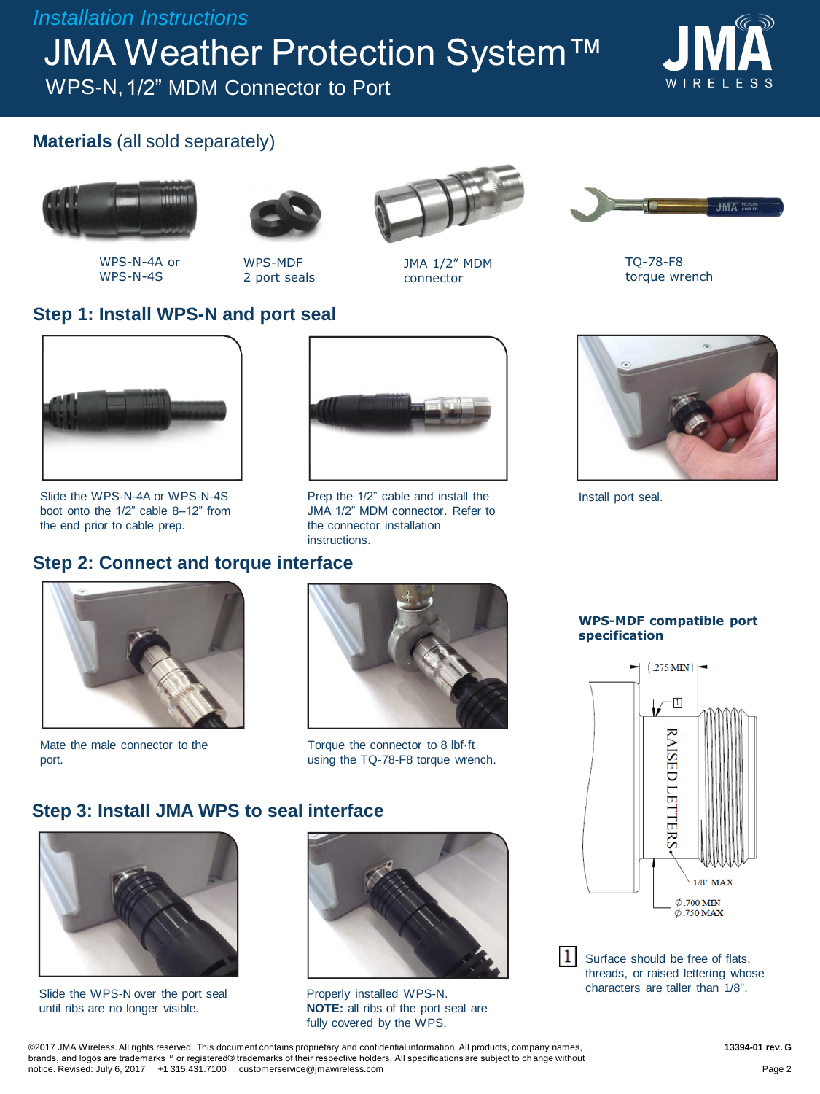*Installation Instructions*

**JMA Weather Protection System™** 

WPS-N, 1/2" MDM Connector to Port



## **Materials** (all sold separately)



WPS-N-4A or WPS-N-4S



WPS-MDF 2 port seals



JMA 1/2" MDM connector



TQ-78-F8 torque wrench

### **Step 1: Install WPS-N and port seal**



Slide the WPS-N-4A or WPS-N-4S boot onto the 1/2" cable 8–12" from the end prior to cable prep.

## **Step 2: Connect and torque interface**



Mate the male connector to the port.



Prep the 1/2" cable and install the JMA 1/2" MDM connector. Refer to

the connector installation

instructions.

Torque the connector to 8 lbf·ft using the TQ-78-F8 torque wrench.

#### **Step 3: Install JMA WPS to seal interface**



Slide the WPS-N over the port seal until ribs are no longer visible.



Properly installed WPS-N. **NOTE:** all ribs of the port seal are fully covered by the WPS.



Install port seal.

**WPS-MDF compatible port specification**



 $\mathbf{1}$ Surface should be free of flats, threads, or raised lettering whose characters are taller than 1/8".

©2017 JMA Wireless. All rights reserved. This document contains proprietary and confidential information. All products, company names, brands, and logos are trademarks™ or registered® trademarks of their respective holders. All specifications are subject to change without notice. Revised: July 6, 2017 +1 315.431.7100 customerservice@jmawireless.com